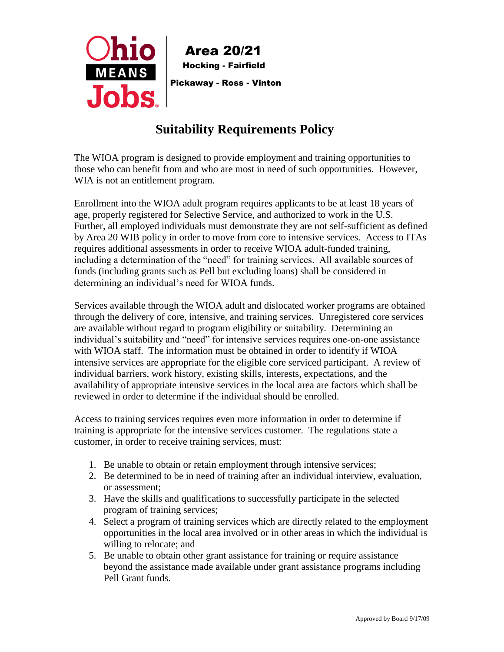

**CHIO**<br>MEANS Hocking - Fairfield Hocking - Fairfield

## **Suitability Requirements Policy**

The WIOA program is designed to provide employment and training opportunities to those who can benefit from and who are most in need of such opportunities. However, WIA is not an entitlement program.

Enrollment into the WIOA adult program requires applicants to be at least 18 years of age, properly registered for Selective Service, and authorized to work in the U.S. Further, all employed individuals must demonstrate they are not self-sufficient as defined by Area 20 WIB policy in order to move from core to intensive services. Access to ITAs requires additional assessments in order to receive WIOA adult-funded training, including a determination of the "need" for training services. All available sources of funds (including grants such as Pell but excluding loans) shall be considered in determining an individual's need for WIOA funds.

Services available through the WIOA adult and dislocated worker programs are obtained through the delivery of core, intensive, and training services. Unregistered core services are available without regard to program eligibility or suitability. Determining an individual's suitability and "need" for intensive services requires one-on-one assistance with WIOA staff. The information must be obtained in order to identify if WIOA intensive services are appropriate for the eligible core serviced participant. A review of individual barriers, work history, existing skills, interests, expectations, and the availability of appropriate intensive services in the local area are factors which shall be reviewed in order to determine if the individual should be enrolled.

Access to training services requires even more information in order to determine if training is appropriate for the intensive services customer. The regulations state a customer, in order to receive training services, must:

- 1. Be unable to obtain or retain employment through intensive services;
- 2. Be determined to be in need of training after an individual interview, evaluation, or assessment;
- 3. Have the skills and qualifications to successfully participate in the selected program of training services;
- 4. Select a program of training services which are directly related to the employment opportunities in the local area involved or in other areas in which the individual is willing to relocate; and
- 5. Be unable to obtain other grant assistance for training or require assistance beyond the assistance made available under grant assistance programs including Pell Grant funds.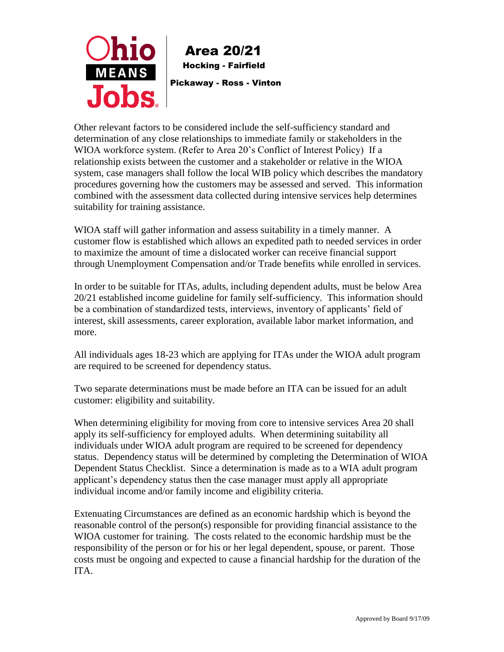

 Area 20/21 Hocking - Fairfield Pickaway - Ross - Vinton

Other relevant factors to be considered include the self-sufficiency standard and determination of any close relationships to immediate family or stakeholders in the WIOA workforce system. (Refer to Area 20's Conflict of Interest Policy) If a relationship exists between the customer and a stakeholder or relative in the WIOA system, case managers shall follow the local WIB policy which describes the mandatory procedures governing how the customers may be assessed and served. This information combined with the assessment data collected during intensive services help determines suitability for training assistance.

WIOA staff will gather information and assess suitability in a timely manner. A customer flow is established which allows an expedited path to needed services in order to maximize the amount of time a dislocated worker can receive financial support through Unemployment Compensation and/or Trade benefits while enrolled in services.

In order to be suitable for ITAs, adults, including dependent adults, must be below Area 20/21 established income guideline for family self-sufficiency. This information should be a combination of standardized tests, interviews, inventory of applicants' field of interest, skill assessments, career exploration, available labor market information, and more.

All individuals ages 18-23 which are applying for ITAs under the WIOA adult program are required to be screened for dependency status.

Two separate determinations must be made before an ITA can be issued for an adult customer: eligibility and suitability.

When determining eligibility for moving from core to intensive services Area 20 shall apply its self-sufficiency for employed adults. When determining suitability all individuals under WIOA adult program are required to be screened for dependency status. Dependency status will be determined by completing the Determination of WIOA Dependent Status Checklist. Since a determination is made as to a WIA adult program applicant's dependency status then the case manager must apply all appropriate individual income and/or family income and eligibility criteria.

Extenuating Circumstances are defined as an economic hardship which is beyond the reasonable control of the person(s) responsible for providing financial assistance to the WIOA customer for training. The costs related to the economic hardship must be the responsibility of the person or for his or her legal dependent, spouse, or parent. Those costs must be ongoing and expected to cause a financial hardship for the duration of the ITA.